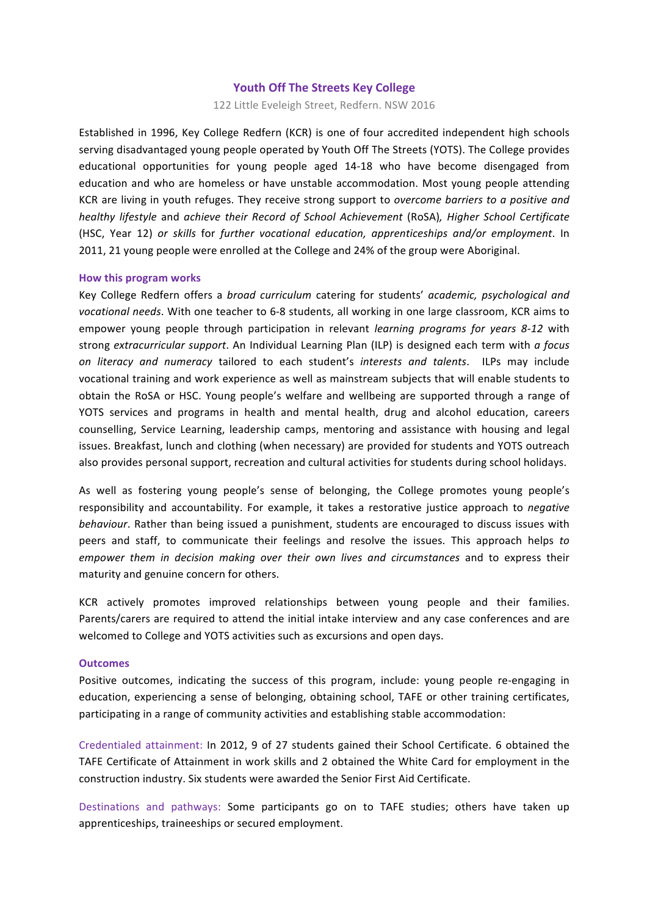# **Youth Off The Streets Key College**

122 Little Eveleigh Street, Redfern, NSW 2016

Established in 1996, Key College Redfern (KCR) is one of four accredited independent high schools serving disadvantaged young people operated by Youth Off The Streets (YOTS). The College provides educational opportunities for young people aged 14-18 who have become disengaged from education and who are homeless or have unstable accommodation. Most young people attending KCR are living in youth refuges. They receive strong support to *overcome barriers to a positive and healthy lifestyle* and *achieve their Record of School Achievement* (RoSA)*, Higher School Certificate* (HSC, Year 12) *or skills*  for *further vocational education, apprenticeships and/or employment*. In 2011, 21 young people were enrolled at the College and 24% of the group were Aboriginal.

### **How this program works**

Key College Redfern offers a *broad curriculum* catering for students' *academic*, *psychological and* vocational needs. With one teacher to 6-8 students, all working in one large classroom, KCR aims to empower young people through participation in relevant *learning programs for years 8-12* with strong *extracurricular support*. An Individual Learning Plan (ILP) is designed each term with *a focus on literacy and numeracy*  tailored to each student's *interests and talents*. ILPs may include vocational training and work experience as well as mainstream subjects that will enable students to obtain the RoSA or HSC. Young people's welfare and wellbeing are supported through a range of YOTS services and programs in health and mental health, drug and alcohol education, careers counselling, Service Learning, leadership camps, mentoring and assistance with housing and legal issues. Breakfast, lunch and clothing (when necessary) are provided for students and YOTS outreach also provides personal support, recreation and cultural activities for students during school holidays.

As well as fostering young people's sense of belonging, the College promotes young people's responsibility and accountability. For example, it takes a restorative justice approach to *negative behaviour*. Rather than being issued a punishment, students are encouraged to discuss issues with peers and staff, to communicate their feelings and resolve the issues. This approach helps to *empower* them in decision making over their own lives and circumstances and to express their maturity and genuine concern for others.

KCR actively promotes improved relationships between young people and their families. Parents/carers are required to attend the initial intake interview and any case conferences and are welcomed to College and YOTS activities such as excursions and open days.

#### **Outcomes**

Positive outcomes, indicating the success of this program, include: young people re-engaging in education, experiencing a sense of belonging, obtaining school, TAFE or other training certificates, participating in a range of community activities and establishing stable accommodation:

Credentialed attainment: In 2012, 9 of 27 students gained their School Certificate. 6 obtained the TAFE Certificate of Attainment in work skills and 2 obtained the White Card for employment in the construction industry. Six students were awarded the Senior First Aid Certificate.

Destinations and pathways: Some participants go on to TAFE studies; others have taken up apprenticeships, traineeships or secured employment.